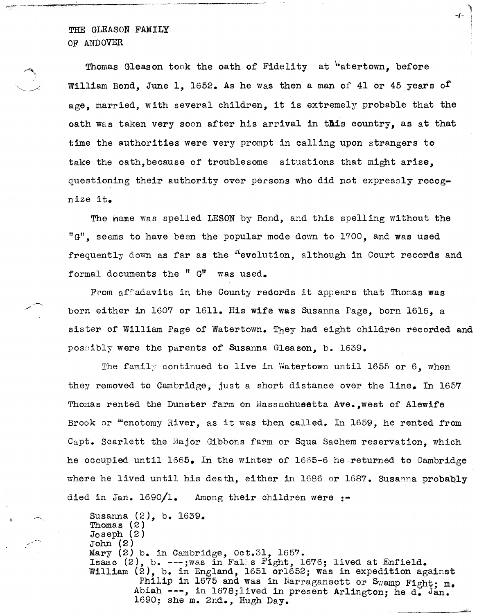THE GLEASON FAMILY OF ANDOVER

... , .... , .... " --.......... ~---,-~---- ----~---~- -----,-,-

Thomas Gleason took the oath of Fidelity at "atertown, before William Bond, June 1, 1652. As he was then a man of 41 or 45 years of age, married, with several children, it is extremely probable that the oath was taken very soon after his arrival in this country, as at that time the authorities were very prompt in calling upon strangers to take the oath, because of troublesome situations that might arise, questioning their authority over persons who did not expressly recognize it.

<sup>~</sup>-/- \

The nane was spelled LESON by Bond, and this spelling without the "G", seems to have been the popular mode down to 1700, and was used frequently down as far as the  $R$ -evolution, although in Court records and formal documents the  $"$  G" was used.

From affedavits in the County redords it appears that Thomas was born either in 1607 or 1611. His wife was Susanna Page, born 1616, a sister of William Page of Watertown. They had eight children recorded and posaibly were the parents of Susanna Gleason, b. 1639.

The family continued to live in Watertown until 1655 or 6, when they removed to Cambridge, just a short distance over the line. In  $1657$ Thomas rented the Dunster farm on Massachusetta Ave., west of Alewife Brook or menotomy River, as it was then called. In 1659, he rented from Capt. Scarlett the Major Gibbons farm or Squa Sachem reservation, which he occupied until 1665. In the winter of 1665-6 he returned to Cambridge where he lived until his death, either in 1686 or 1687. Susanna probably died in Jan.  $1690/1$ . Among their children were :-

Susanna (2), b. 1639. Thomas (2) Joseph (2) John (2) Mary  $(2)$  b. in Cambridge, Oct. 31, 1657. Isaac  $(2)$ , b. ---;was in Falls Fight, 1676; lived at Enfield. William (2), b. in England, 1651 or1652; was in expedition against Philip in 1675 and was in Narragansett or Swamp Fight; m. Abiah  $--$ , in 1678;lived in present Arlington; he d. Jan.<br>1690; she m. 2nd., Hugh Day.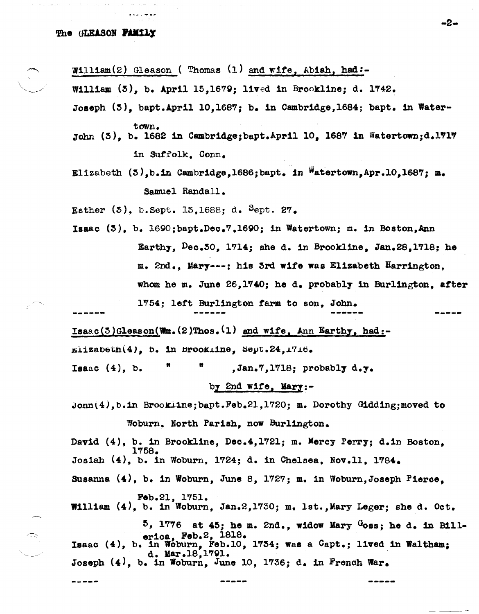### The GLEASON FAMILY

William(2) Gleason ( Thomas  $(1)$  and wife, Abiah, had:-

William  $(5)$ , b. April 15,1679; lived in Brookline; d. 1742.

- Joseph  $(3)$ , bapt.April 10,1687; b. in Cambridge,1684; bapt. in Watertown.
- John (3), b. 1682 in Cambridge;bapt.April 10, 1687 in Watertown;d.1717 in Suffolk. Conn.
- Elizabeth  $(5)$ ,b.in Cambridge,1686;bapt. in Watertown,Apr.10,1687; m. Samuel Randall.

Esther  $(5)$ , b.Sept. 13,1688; d. Sept. 27.

Isaac (3), b. 16gQ;bapt.Dec.7,1690; in Watertown; m. in Boston,Ann Earthy,  $Dec.50$ , 1714; she d. in Brookline, Jan.28,1718; he m. 2nd., Mary---: his 3rd wife was Elizabeth Harrington. whom he m. June 26, 1740; he d. probably in Burlington. after 1'754; lett Burlington farm to son, JOhn. **----\_ ..** 

 $Isaac(3)Gleason(\textbf{Wm.}(2)~\textbf{Thos.}(1)$  and wife, Ann Earthy, had:-

 $\texttt{m}$ izabeth $(4)$ , b. in Brookline, Sept.24,1716.

Isaac  $(4)$ , b.  $\blacksquare$   $\blacksquare$ , Jan.  $7,1718$ ; probably d.y.

# by 2nd wife, Mary: $-$

 ${\tt Jonm(4)}$ , b.in Brookline; bapt.Feb.21,1720; m. Dorothy Gidding; moved to Woburn. North Parish, now Burlington.

David (4), b. in Brookline, Dec.4,1721; m. Mercy Perry; d.in Boston, 1758. Josiah (4), b. In Woburn, 1724; d. in Chelsea, Nov.ll, 1'784. Susanna (4), b. in Woburn, June 8, 1727; m. in Woburn, Joseph Pierce. Feb.21, 1751.

William  $(4)$ , b. in Woburn, Jan.2,1730; m. lst., Mary Leger; she d. Oct.

 $5, 1776$  at  $45$ ; he m. 2nd., widow Mary Goss; he d. in Billerica, Feb.2, 1818. Isaac  $(4)$ , b. in Woburn, Feb.10, 1734; was a Capt.; lived in Waltham; d. Mar.18,1791. Joseph  $(4)$ , b. in Woburn, June 10, 1736; d. in French War.

-2−

-----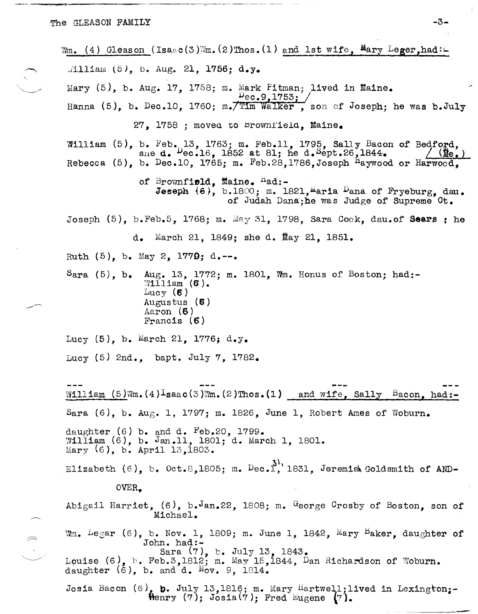$\left\langle \right\rangle$ 

Wm. (4) Gleason (Isaac(3)Wm. (2)Thos. (1) and 1st wife,  $M_{\text{ary}}$  Leger,had: $\subset$  $\text{William } (5)$ , b. Aug. 21, 1756; d. y. Mary  $(5)$ , b. Aug. 17, 1758; m. Mark Pitman; lived in Maine.  $Dec.9, 1753j$ Hanna (5), b. Dec.10, 1760; m./Tim Walker, son of Joseph; he was b.July 27, 1758 ; moved to brownfield, Maine. William  $(5)$ , b.  $Feb_{\bullet}13$ , 1763; m. Feb.11, 1795, Sally Bacon of Bedford, sne d.  $P_{\text{ec.16}}$ , 1705; m. Fob.11, 1759, Bally Bacon of Bedrond,<br>b. Dec.10, 1765: m. Feb.28.1786.Joseph  $\frac{1}{2}$ awwood or Harwood. Rebecca  $(5)$ , b. Dec.10, 1765; m. Feb.28,1786,Joseph <sup>H</sup>aywood or Harwood. of Brownfield, Maine.  $<sup>{\text{H}}</sup>$ ad:-</sup> Jeseph  $(6)$ , b.1800; m. 1821, maria Dana of Fryeburg, dau. of JUdah Dana;he was Judge of Supreme Ct. Joseph  $(5)$ , b.Feb.5, 1768; m. May 31, 1798, Sara Cook, dau.of Seers; he d. March 21, 1849; she d. May 21, 1851. Ruth  $(5)$ , b. May 2, 1779; d.--. Sara  $(5)$ , b. Aug. 13, 1772; m. 1801, Wm. Honus of Boston; had:- $W111$ iam  $(6)$ .  $_{\text{Lucy}}$  (6) Augustus (6) Aaron (6) Francis (6) Lucy  $(5)$ , b. March 21, 1776; d.y. Lucy (5) 2nd., bapt. July 7, 1782. William  $(5)$ Wm. $(4)$ <sup>l</sup>saac(3)Wm. $(2)$ Thos. $(1)$  and wife, Sally Bacon, had:-Sara (6), b. Aug. 1, 1797; m. 1826, June 1, Robert Ames of Woburn. daughter  $(6)$  b. and d. Feb.20, 1799.  $W1111$ am (6), b. Jan.11, 1801; d. March 1, 1801. Mary  $(6)$ , b. April 13,1803. Elizabeth (6), b. Oct.8,1805; m.  $\text{Dec.1}^{31}$ , 1831, Jeremiah Goldsmith of AND-OVER., Abigail Harriet,  $(6)$ , b.Jan.22, 1808; m. George Crosby of Boston, son of Michael.  $W_m$ . Legar (6), b. Nov. 1, 1809; m. June 1, 1842, Mary Baker, daughter of John. had:- Sara (7), b. July 13, 1843. Louise  $(6)$ , b. Feb.3,1812; m. May 15,1844, Dan Richardson of Woburn. daughter  $(6)$ , b. and d. Nov. 9, 1814. Josia Bacon  $(6)$ , b. July 13,1816; m. Mary Hartwell;lived in Lexington;- $\text{Henry (7)}$ ; Josia $(\dot{7})$ ; Fred Eugene  $(\dot{7})$ .  $-$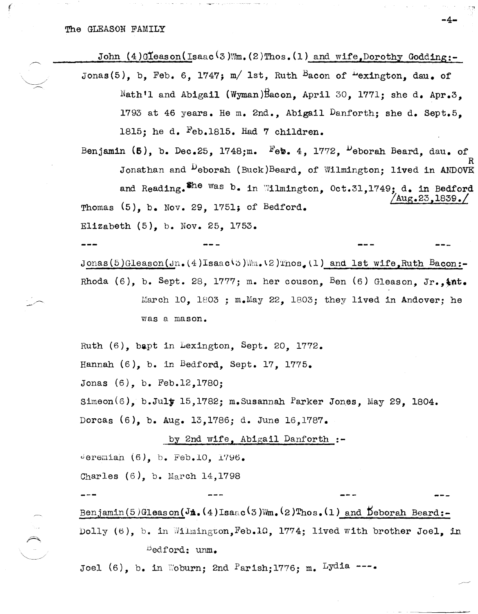John  $(4)$ Gleason(Isaac<sup>(3)</sup>Wm.(2)Thos.(1) and wife, Dorothy Godding:-

-4-

- Jonas(5), b. Feb. 6, 1747; m/ 1st, Ruth Bacon of  $\frac{1}{2}$  exington, day, of Nath'l and Abigail (Wyman)Bacon, April 30, 1771; she d. Apr.3, 1793 at 46 years. He m. 2nd., Abigail Danforth; she d. Sept.5. 1815; he d.  $Feb.1815.$  Had 7 children.
- Benjamin (5), b. Dec.25, 1748; m. Feb. 4, 1772,  $\frac{D}{D}$ eborah Beard, dau. of Jonathan and <sup>D</sup>eborah (Buck)Beard, of Wilmington; lived in ANDOVE and Reading. The was b. in Wilmington, Oct.31,1749; d. in Bedford  $\sqrt{\text{Aug.23,1839}}$ . Thomas  $(5)$ , b. Nov. 29, 1751; of Bedford. Elizabeth  $(5)$ , b. Nov. 25, 1753.

Jonas (5) Gleason (Jn.  $(4)$ Isaac(3) Wm. (2) Thos. (1) and 1st wife, Ruth Bacon:-Rhoda (6), b. Sept. 28, 1777; m. her couson, Ben (6) Gleason. Jr.,  $\frac{1}{2}nt$ . March 10, 1803 ;  $m_e$ May 22, 1803; they lived in Andover; he was a mason.

Ruth (6), bapt in Lexington, Sept. 20, 1772. Hannah  $(6)$ , b. in Bedford, Sept. 17, 1775. Jonas (6), b. Feb.12,1780; Simeon(6), b.July 15,1782; m.Susannah Parker Jones, May 29, 1804. Dorcas (6), b. Aug. 13, 1786; d. June 16, 1787.

by 2nd wife, Abigail Danforth :-

deremian  $(6)$ , b. Feb.10, 1796.

Charles (6), b. March 14,1798

Benjamin(5)Gleason(J $\hat{\mathbf{h}}$ .(4)Isaac(3)Wm.(2)Thos.(1) and Deborah Beard:-Dolly (6), b. in Wilmington, Feb.10, 1774; lived with brother Joel, in Dedford: unm.

Joel  $(6)$ , b. in Woburn; 2nd Parish; 1776; m. Lydia ---.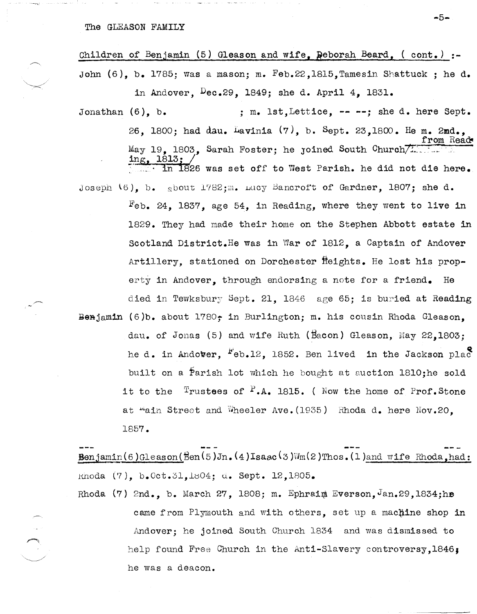## The GLEASON FAMILY

# Children of Benjamin (5) Gleason and wife, Deborah Beard, (cont.) :-John  $(6)$ , b. 1785; was a mason; m. Feb.22, 1815, Tamesin Shattuck; he d.

in Andover, Dec.29, 1849; she d. April 4, 1831. ; m. lst, Lettice, -- --; she d. here Sept. Jonathan  $(6)$ , b. 26, 1800; had dau. Lavinia (7), b. Sept. 23, 1800. He m. 2md., from Read May 19. 1803. Sarah Foster; he joined South Church in 1826 was set off to West Parish. he did not die here. Joseph (6), b. gbout 1782; m. Lucy Bancroft of Gardner, 1807; she d.  $F_{\rm e}$ b. 24, 1837, age 54, in Reading, where they went to live in 1829. They had made their home on the Stephen Abbott estate in

Scotland District.He was in War of 1812, a Captain of Andover Artillery, stationed on Dorchester fleights. He lost his property in Andover, through endorsing a note for a friend. He died in Tewksbury Sept. 21. 1846 age 65; is buried at Reading Benjamin (6)b. about  $1780$ ; in Burlington; m. his cousin Rhoda Gleason. dau. of Jonas (5) and wife Ruth (Bacon) Gleason, May 22, 1803; he d. in Andover, "eb.12, 1852. Ben lived in the Jackson plac built on a Parish lot which he bought at auction 1810; he sold it to the  $\frac{1}{2}$ rustees of  $\frac{1}{2}$ .A. 1815. (Now the home of Prof.Stone at "ain Street and Wheeler Ave. (1935) Rhoda d. here Nov.20. 1857.

 $\texttt{Benjamin}(6)$ Gleason( $\texttt{Ben}(5)$ Jn. (4)Isaac(3)Wm(2)Thos. (1)and wife Rhoda.had: Rnoda (7), b.Oct.31,1804; d. Sept. 12,1805.

Rhoda (7) 2nd., b. March 27, 1808; m. Ephraim Everson, Jan. 29, 1834; he came from Plymouth and with others, set up a machine shop in Andover; he joined South Church 1834 and was dismissed to help found Free Church in the Anti-Slavery controversy, 1846; he was a deacon.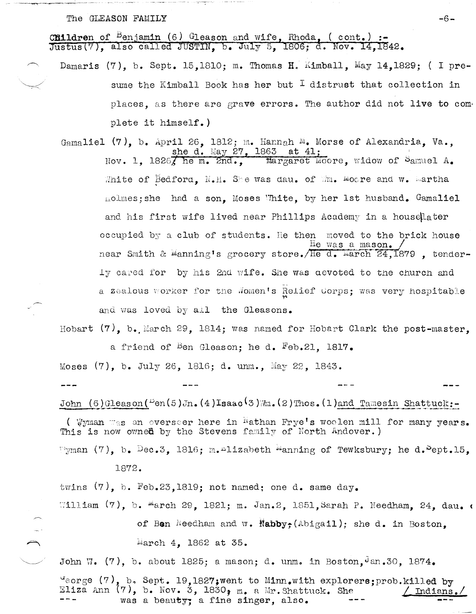## The GLEASON FAMILY

**Children** of <sup>B</sup>enjamin (6) Gleason and wife, Rhoda, (cont.) :-<br>Justus(7), also called JUSTIN, b. July 5, 1806; d. Nov. 14,1842.

Damaris (7), b. Sept. 15,1810; m. Thomas H. Kimball, May 14,1829; (I presume the Kimball Book has her but  $I$  distrust that collection in places, as there are grave errors. The author did not live to complete it himself.)

Gamaliel (7), b. April 26, 1812; m. Hannah M. Morse of Alexandria. Va.. she d. May 27, 1863 at 41; Nov. 1. 18267 he m. 2nd.. Margaret Moore, widow of Samuel A. White of Bedford, N.H. She was dau, of Wm. Moore and w. Martha nolmes; she had a son. Moses White, by her 1st husband. Gamaliel and his first wife lived near Phillips Academy in a housellater occupied by a club of students. He then moved to the brick house He was a mason. near Smith & Manning's grocery store. He d. March 24,1879, tender-Ty cared for by his 2nd wife. She was devoted to the church and a zealous worker for the Women's Relief Corps; was very hospitable and was loved by all the Gleasons.

Hobart  $(7)$ , b. March 29, 1814; was named for Hobart Clark the post-master. a friend of <sup>B</sup>en Gleason; he d. Feb.21, 1817.

Moses (7), b. July 26, 1816; d. unm., May 22, 1843. John  $(6)$  Gleason( $\frac{D_{\text{en}}}{D_{\text{en}}}$ ,  $(4)$ Isaac(3) m. (2) Thos. (1) and Tamesin Shattuck:-

(Wyman was an overseer here in Wathan Frye's woolen mill for many years. This is now owned by the Stevens family of North Andover.) Fyman  $(7)$ , b. Dec.3, 1816; m. lizabeth manning of Tewksbury; he d.  $Perb.15$ ,

1872.

twins  $(7)$ , b. Feb.23,1819; not named; one d. same day. William (7), b. March 29, 1821; m. Jan.2, 1851, Sarah P. Needham, 24, dau. of Ben Needham and w. Nabby; (Abigail); she d. in Boston, March 4, 1862 at 35.

John W. (7), b. about 1825; a mason; d. unm. in Boston,  $\theta$ an. 30, 1874.  $G_{\text{eorge}}(7)$ , b. Sept. 19,1827; went to Minn.with explorers; prob.killed by Eliza Ann  $(7)$ , b. Nov. 3, 1830, m. a Mr. Shattuck. She Indians was a beauty; a fine singer, also.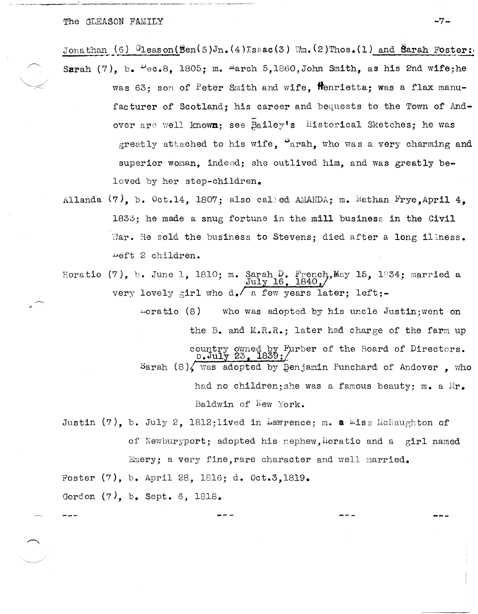The GLEASON FAMILY **-7-**

 $J$ onathan  $(6)$   $\frac{G_1}{G_2}$ eason( $\frac{G_1}{G_1}(5)J_n$ . $(4)Is$ ac(3) \''m.(2)Thos.(1) and Sarah Foster: Sarah (7), b.  $\frac{\mu_{e}}{\rho}$ . 1805; m.  $\frac{\mu_{\text{arch}}}{\rho}$  5,1860, John Smith, as his 2nd wife;he

- was  $63$ ; son of Peter Smith and wife, formietta; was a flax manufacturer of Scotland: his career and bequests to the Town of And-.-' over are well known; see Bailey's Historical Sketches; he was greatly attached to his wife.  $\Omega$  arah, who was a very charming and superior woman. indeed; she outlived him. and was greatly beloved by her step-children.
- Allanda  $(7)$ , b. Oct.14, 1807; also called AMANDA; m. Nathan Frye,April 4, 1833; he made a snug fortune in the mill business in the Civil War. He sold the business to Stevens; died after a long illness. ~eft 2 children.
- Horatio (7), b. June 1, 1810; m. Sarah D. French, May 15, 1834; married a very lovely girl who d. a few years later; left:- $\text{July }16$ ,  $\frac{1840}{1840}$

 $\text{hors}$  (8) who was adopted by his uncle Justin; went on the B. and M.R.R.; later had charge of the farm up country owned by Furber of the Board of Directors.<br> **b. July 23, 1839;** Sarah  $(8)$ , was adopted by Benjamin Punchard of Andover , who had no children; she was a famous beauty; m. a Mr. Baldwin of  $New$  York.

Justin (7), b. July 2, 1812;lived in Lawrence; m. a  $\mathbb{M}$ iss McNaughton of of Newburyport; adopted his nephew, horatio and a girl named Emery; a very fine, rare character and well married.

Foster (7), b. April 28, 1816; d. Oct.3,1819.

Gordon (7), b. Sept. 6, 1818.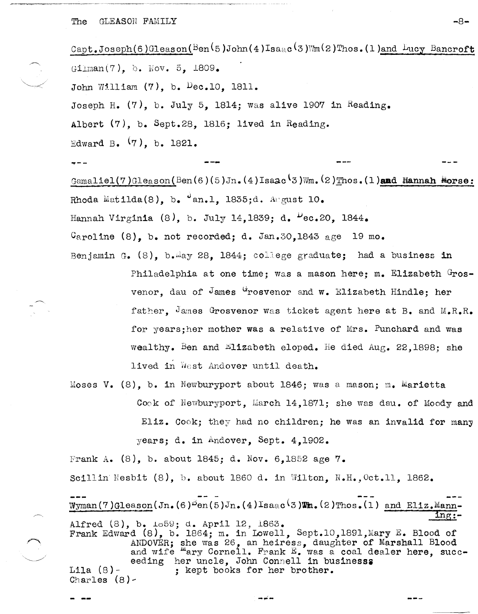### $\Gamma$  The GLEASON FAMILY  $-8-$

Capt. Joseph(6)Gleason( $Ben (5 ) John (4) Isa<sub>e</sub>c(3)$ Wm(2)Thos. (1)and Lucy Bancroft  $G1$ lman $(7)$ , b. Nov. 5, 1809. John William (7), b. Dec.IO, 1811. Joseph H.  $(7)$ , b. July 5, 1814; was alive 1907 in Reading. Albert (7), b. Sept.28, 1816; lived in Reading. Edward B. (7), b. 1821. .. -- Gamaliel(7) Gleason(Ben(6)(5)Jn. (4) Isaac(3) Wm. (2) Thos. (1) and Hannah Morse: Rhoda Matilda(8), b.  $\sigma$ an.l, 1835;d. August 10. Hannah Virginia (8), b. July 14,1839; d.  $\text{Vec.20}$ , 1844.  $C_{\text{apoline}}$  (8), b. not recorded; d. Jan.30,1843 age 19 mo. Benjamin G.  $(8)$ , b.iay 28, 1844; college graduate; had a business in Philadelphia at one time; was a mason here; m. Elizabeth Grosvenor, dau of James <sup>G</sup>rosvenor and w. Elizabeth Hindle; her

> father. James Grosvenor was ticket agent here at B. and  $M_eR_eR_e$ for years;her mother was a relative of Mrs. Punchard and was wealthy. Ben and Elizabeth eloped. He died Aug. 22,1898; she lived in West Andover until death.

Moses V.  $(8)$ , b. in Newburyport about 1846; was a mason; m. Marietta Cock of Newburyport, March 14,1871; she was dau. of Moody and Eliz.  $Cook$ ; they had no children; he was an invalid for many years; d. in Andover, Sept. 4,1902.

Frank A.  $(8)$ , b. about 1845; d. Nov. 6,1852 age 7. Scillin Nesbit  $(8)$ , b. about 1860 d. in Wilton, N.H., Oct.ll. 1862. Wyman(7)Gleason(Jn.(6)<sup>B</sup>en(5)Jn.(4)Isaac<sup>(</sup>3)Wm.(2)Thos.(1) and Eliz.Mann-<br>-thg: Alfred (8), b. 1059; d. April 12, 1863. Frank Edward (8), b. 1864; m. in Lowell, Sept.10,1891, Mary E. Blood of ANDOVER; she was 26, an heiress, daughter of Marshall Blood and wife mary Cornell. Frank E. was a coal dealer here, succeeding her uncle. John Connell in businesss Lila (8)- ; kept books for her brother. Charles (8)-

-~-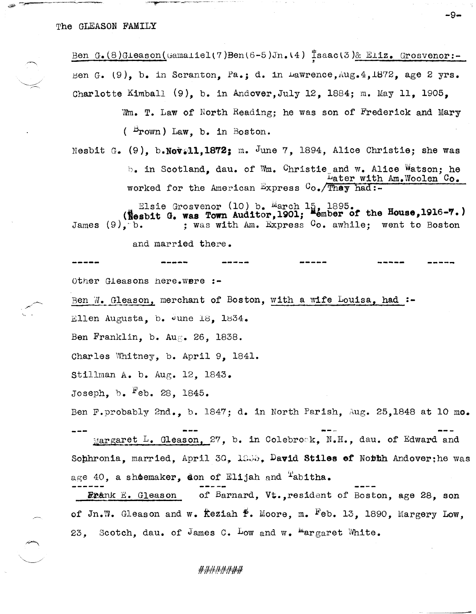Ben G.(8)Gieason(Gamalielt7)Ben $(6-5)$ Jn.14) Isaac $(3)$ & Eliz. Grosvenor:--' Ben G. (9), b. in Scranton, Pa.; d. in Lawrence, Aug. 4, 1872, age 2 yrs. Charlotte Kimball (9), b. in Andover,July 12, 1884; m. May 11, 1905,

> Wm. T. Law of North Reading; he was son of Frederick and Mary  $($   $Brown)$  Law, b. in Boston.

-9-

Nesbit G.  $(9)$ , b.Nev.11,1872; m. June 7, 1894, Alice Christie; she was  $b_{\bullet}$  in Scotland, dau. of Wm. Ghristie and w. Alice Watson; he Later with Am.Woolen Co. worked for the American Express  $C_{O_{\bullet}}/T$  had:-

Elsie Grosvenor (10) b. March 15, 1895.<br>(Nesbit G. was Town Auditor,1901; Member of the House,1916-7.)<br>James (9). b. : was with Am. Express Co. awhile; went to Boston : was with Am. Express  $G_0$ . awhile; went to Boston

and married there.

other G1easons here.were :- Ben W. Gleason, merchant of Boston, with a wife Louisa. had :-Ellen Augusta, b.  $\frac{1}{9}$ une 18, 1834. Ben Franklin, b. Aug. 26, 1838. Charles Whitney, b. April 9, 1841. stillman A. b. Aug. 12, 1843. Joseph. b.  $F$ eb. 28, 1845. Ben F.probably 2nd., b. 1847; d. in North Parish, Aug. 25,1848 at 10 mo. Margaret L. Gleason, 27, b. in Colebrosk, N.H., dau. of Edward and

Sophronia, married, April 30, 1935, David Stiles of Notth Andover; he was age 40, a shoemaker, don of Elijah and  $T$ abitha.

**Exa**nk E. Gleason of Barnard, Vt., resident of Boston, age 28, son of Jn.W. Gleason and w. Keziah  $\tilde{P}$ . Moore, m. <sup>F</sup>eb. 13, 1890, Margery Low, 23. Scotch, dau. of James C. Low and w.  ${}^{\text{m}}$ argaret White.